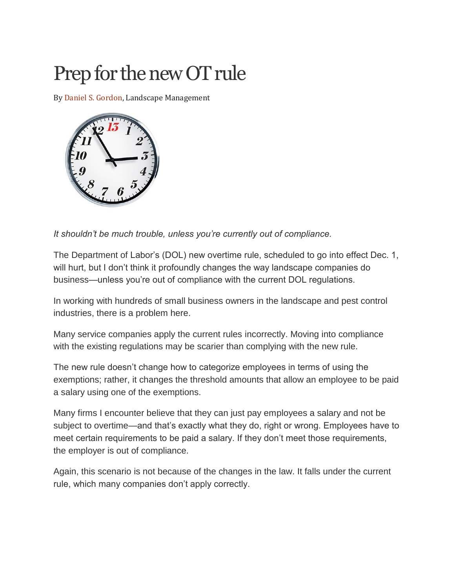# Prep for the new OT rule

By [Daniel S. Gordon,](http://landscapemanagement.net/author/dgordon/) Landscape Management



*It shouldn't be much trouble, unless you're currently out of compliance.*

The Department of Labor's (DOL) new overtime rule, scheduled to go into effect Dec. 1, will hurt, but I don't think it profoundly changes the way landscape companies do business—unless you're out of compliance with the current DOL regulations.

In working with hundreds of small business owners in the landscape and pest control industries, there is a problem here.

Many service companies apply the current rules incorrectly. Moving into compliance with the existing regulations may be scarier than complying with the new rule.

The new rule doesn't change how to categorize employees in terms of using the exemptions; rather, it changes the threshold amounts that allow an employee to be paid a salary using one of the exemptions.

Many firms I encounter believe that they can just pay employees a salary and not be subject to overtime—and that's exactly what they do, right or wrong. Employees have to meet certain requirements to be paid a salary. If they don't meet those requirements, the employer is out of compliance.

Again, this scenario is not because of the changes in the law. It falls under the current rule, which many companies don't apply correctly.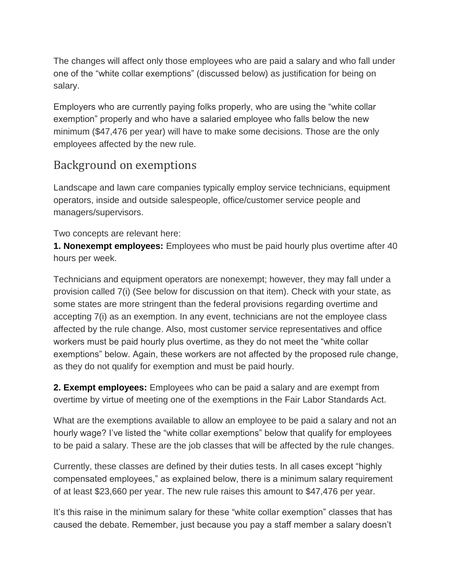The changes will affect only those employees who are paid a salary and who fall under one of the "white collar exemptions" (discussed below) as justification for being on salary.

Employers who are currently paying folks properly, who are using the "white collar exemption" properly and who have a salaried employee who falls below the new minimum (\$47,476 per year) will have to make some decisions. Those are the only employees affected by the new rule.

# Background on exemptions

Landscape and lawn care companies typically employ service technicians, equipment operators, inside and outside salespeople, office/customer service people and managers/supervisors.

Two concepts are relevant here:

**1. Nonexempt employees:** Employees who must be paid hourly plus overtime after 40 hours per week.

Technicians and equipment operators are nonexempt; however, they may fall under a provision called 7(i) (See below for discussion on that item). Check with your state, as some states are more stringent than the federal provisions regarding overtime and accepting 7(i) as an exemption. In any event, technicians are not the employee class affected by the rule change. Also, most customer service representatives and office workers must be paid hourly plus overtime, as they do not meet the "white collar exemptions" below. Again, these workers are not affected by the proposed rule change, as they do not qualify for exemption and must be paid hourly.

**2. Exempt employees:** Employees who can be paid a salary and are exempt from overtime by virtue of meeting one of the exemptions in the Fair Labor Standards Act.

What are the exemptions available to allow an employee to be paid a salary and not an hourly wage? I've listed the "white collar exemptions" below that qualify for employees to be paid a salary. These are the job classes that will be affected by the rule changes.

Currently, these classes are defined by their duties tests. In all cases except "highly compensated employees," as explained below, there is a minimum salary requirement of at least \$23,660 per year. The new rule raises this amount to \$47,476 per year.

It's this raise in the minimum salary for these "white collar exemption" classes that has caused the debate. Remember, just because you pay a staff member a salary doesn't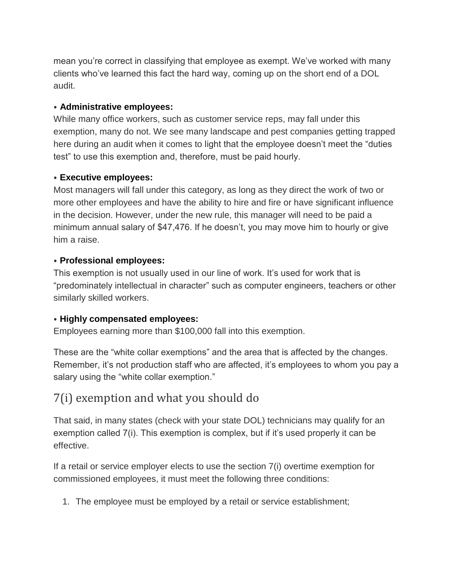mean you're correct in classifying that employee as exempt. We've worked with many clients who've learned this fact the hard way, coming up on the short end of a DOL audit.

#### ⦁ **Administrative employees:**

While many office workers, such as customer service reps, may fall under this exemption, many do not. We see many landscape and pest companies getting trapped here during an audit when it comes to light that the employee doesn't meet the "duties test" to use this exemption and, therefore, must be paid hourly.

#### ⦁ **Executive employees:**

Most managers will fall under this category, as long as they direct the work of two or more other employees and have the ability to hire and fire or have significant influence in the decision. However, under the new rule, this manager will need to be paid a minimum annual salary of \$47,476. If he doesn't, you may move him to hourly or give him a raise.

## ⦁ **Professional employees:**

This exemption is not usually used in our line of work. It's used for work that is "predominately intellectual in character" such as computer engineers, teachers or other similarly skilled workers.

## ⦁ **Highly compensated employees:**

Employees earning more than \$100,000 fall into this exemption.

These are the "white collar exemptions" and the area that is affected by the changes. Remember, it's not production staff who are affected, it's employees to whom you pay a salary using the "white collar exemption."

# 7(i) exemption and what you should do

That said, in many states (check with your state DOL) technicians may qualify for an exemption called 7(i). This exemption is complex, but if it's used properly it can be effective.

If a retail or service employer elects to use the section 7(i) overtime exemption for commissioned employees, it must meet the following three conditions:

1. The employee must be employed by a retail or service establishment;